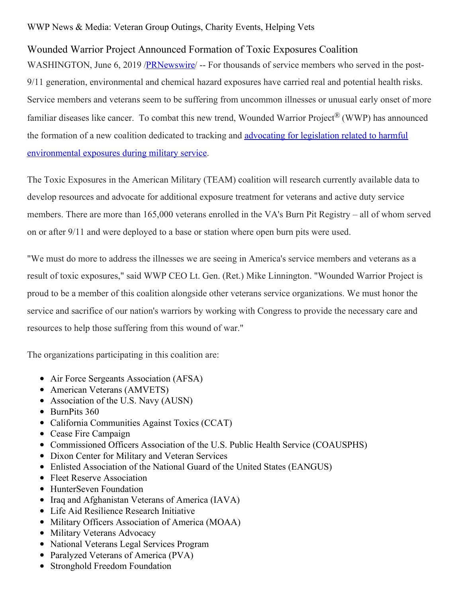## WWP News & Media: Veteran Group Outings, Charity Events, Helping Vets

## Wounded Warrior Project Announced Formation of Toxic Exposures Coalition

WASHINGTON, June 6, 2019 /**PRNewswire** -- For thousands of service members who served in the post-9/11 generation, environmental and chemical hazard exposures have carried real and potential health risks. Service members and veterans seem to be suffering from uncommon illnesses or unusual early onset of more familiar diseases like cancer. To combat this new trend, Wounded Warrior Project® (WWP) has announced the formation of a new coalition dedicated to tracking and advocating for legislation related to harmful [environmental](https://www.woundedwarriorproject.org/programs/policy-government-affairs) exposures during military service.

The Toxic Exposures in the American Military (TEAM) coalition will research currently available data to develop resources and advocate for additional exposure treatment for veterans and active duty service members. There are more than 165,000 veterans enrolled in the VA's Burn Pit Registry – all of whom served on or after 9/11 and were deployed to a base or station where open burn pits were used.

"We must do more to address the illnesses we are seeing in America's service members and veterans as a result of toxic exposures," said WWP CEO Lt. Gen. (Ret.) Mike Linnington. "Wounded Warrior Project is proud to be a member of this coalition alongside other veterans service organizations. We must honor the service and sacrifice of our nation's warriors by working with Congress to provide the necessary care and resources to help those suffering from this wound of war."

The organizations participating in this coalition are:

- Air Force Sergeants Association (AFSA)
- American Veterans (AMVETS)
- Association of the U.S. Navy (AUSN)
- BurnPits 360
- California Communities Against Toxics (CCAT)
- Cease Fire Campaign
- Commissioned Officers Association of the U.S. Public Health Service (COAUSPHS)
- Dixon Center for Military and Veteran Services
- Enlisted Association of the National Guard of the United States (EANGUS)
- Fleet Reserve Association
- HunterSeven Foundation
- Iraq and Afghanistan Veterans of America (IAVA)
- Life Aid Resilience Research Initiative
- Military Officers Association of America (MOAA)
- Military Veterans Advocacy
- National Veterans Legal Services Program
- Paralyzed Veterans of America (PVA)
- Stronghold Freedom Foundation